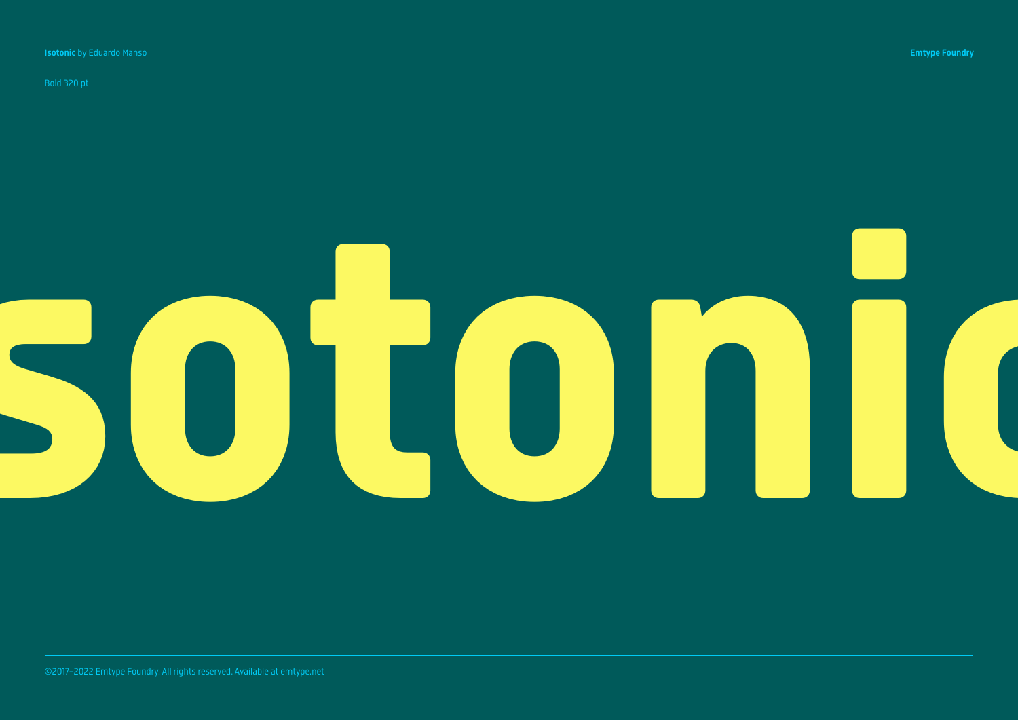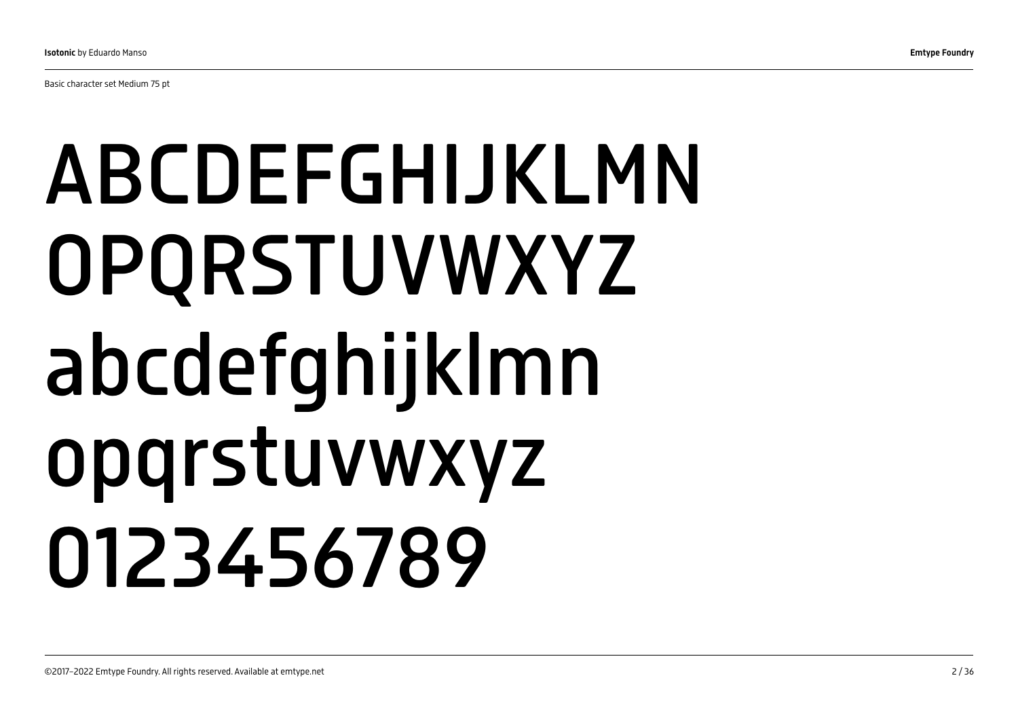Basic character set Medium 75 pt

# ABCDEFGHIJKLMN OPQRSTUVWXYZ abcdefghijklmn opqrstuvwxyz 0123456789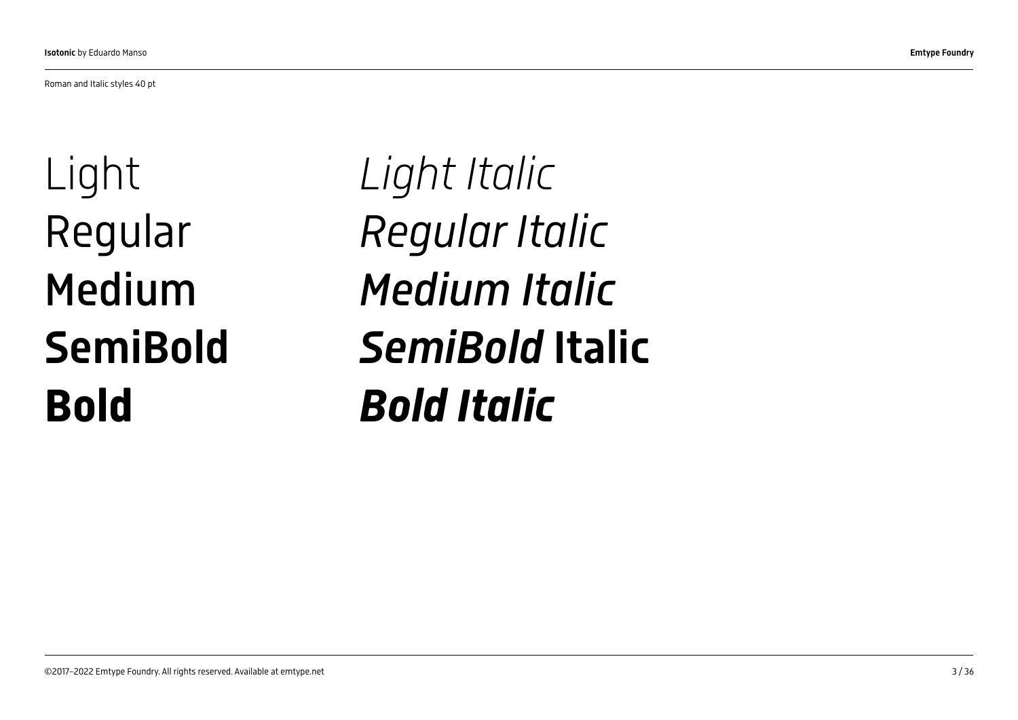Roman and Italic styles 40 pt

Light Regular Medium **SemiBold** Bold

*Light Italic Regular Italic Medium Italic SemiBold* Italic *Bold Italic*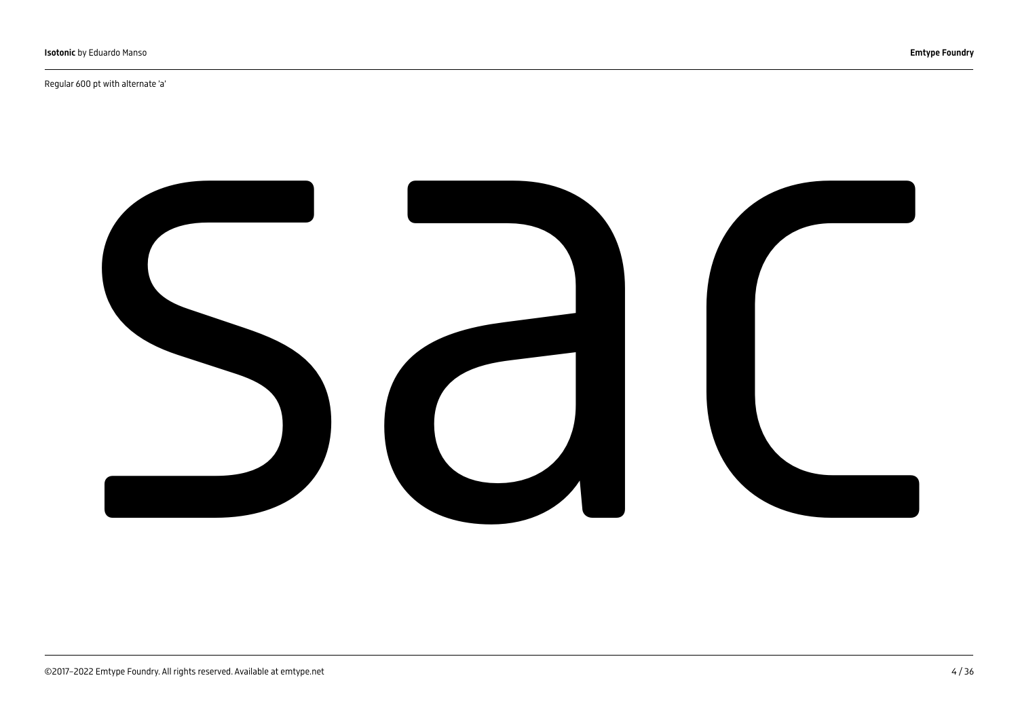Regular 600 pt with alternate 'a'

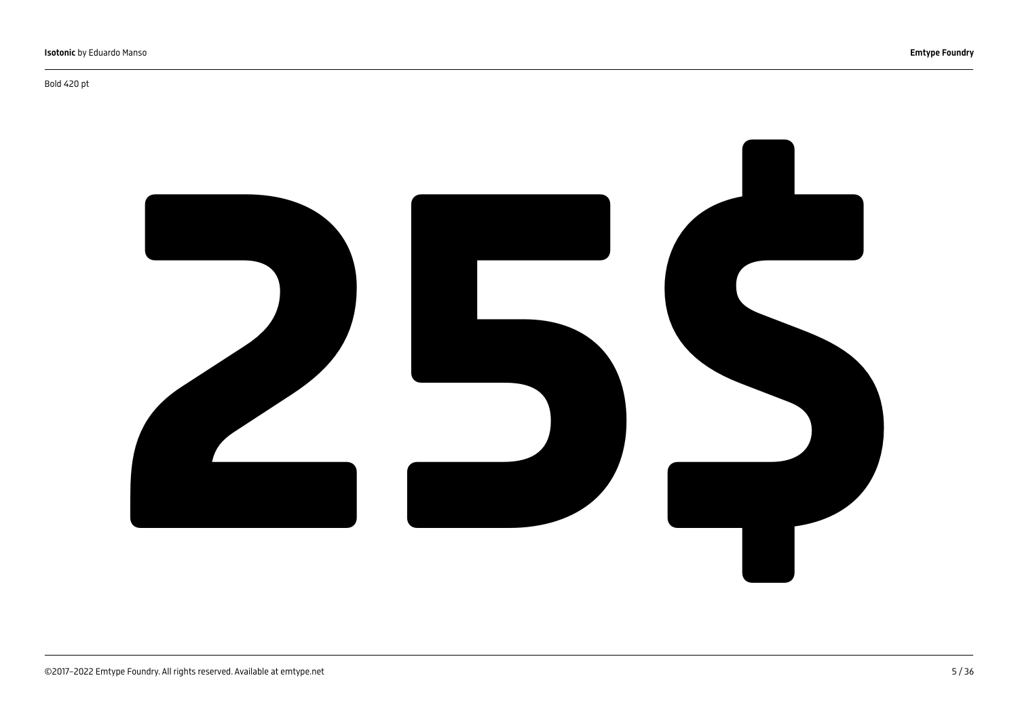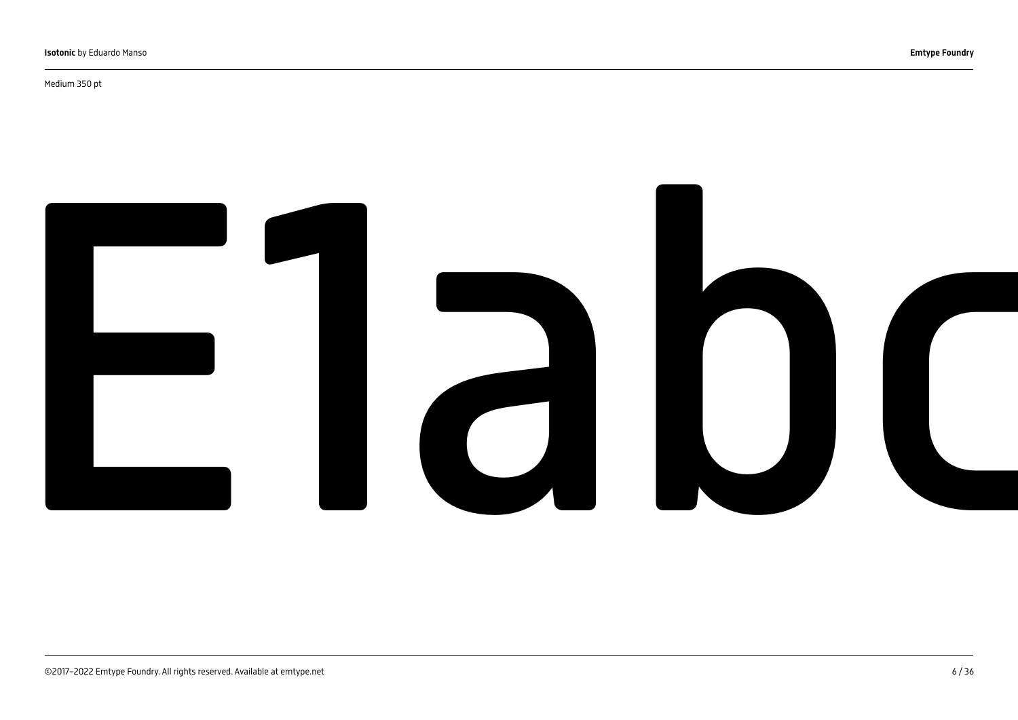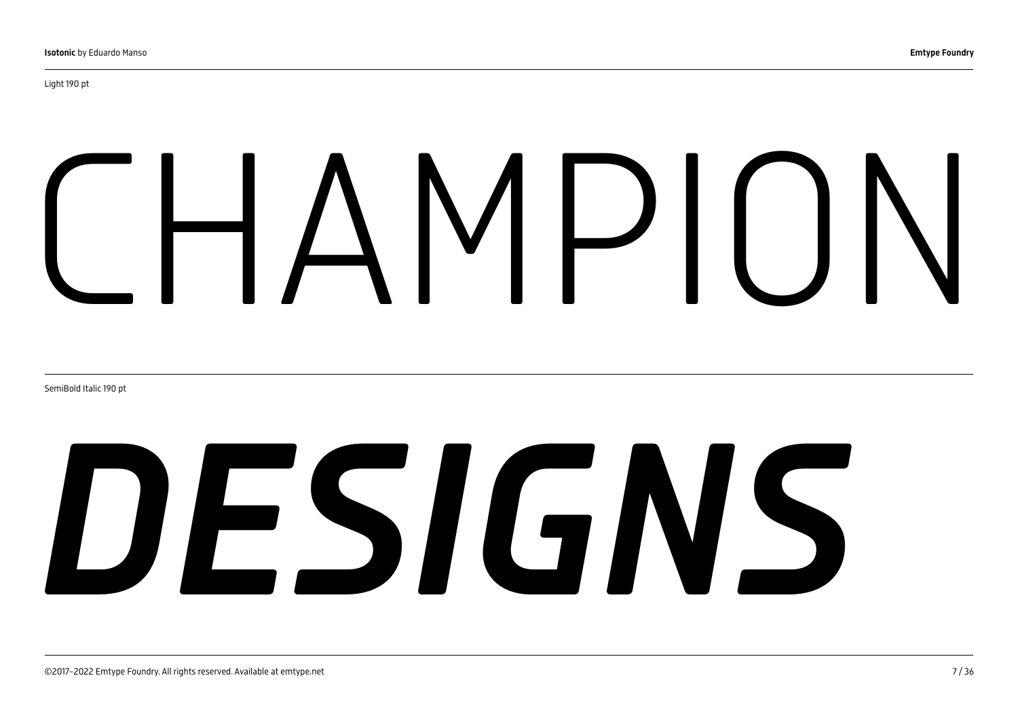# $\mathcal{P}$

SemiBold Italic 190 pt

# *DESIGNS*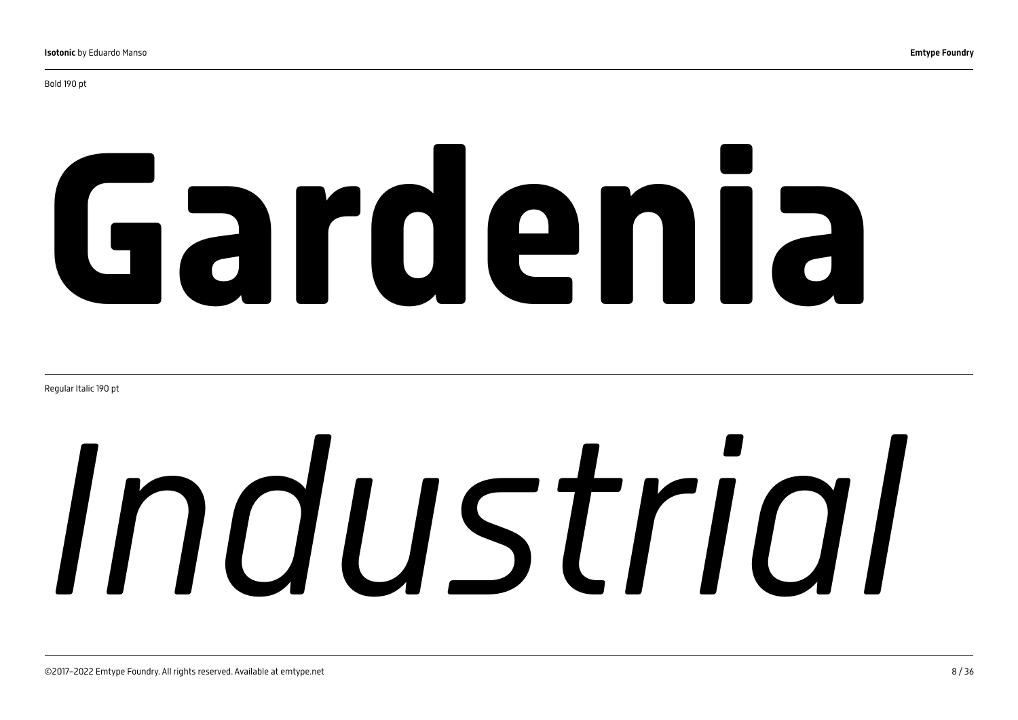Bold 190 pt

# Gardenia

Regular Italic 190 pt

# *Industrial*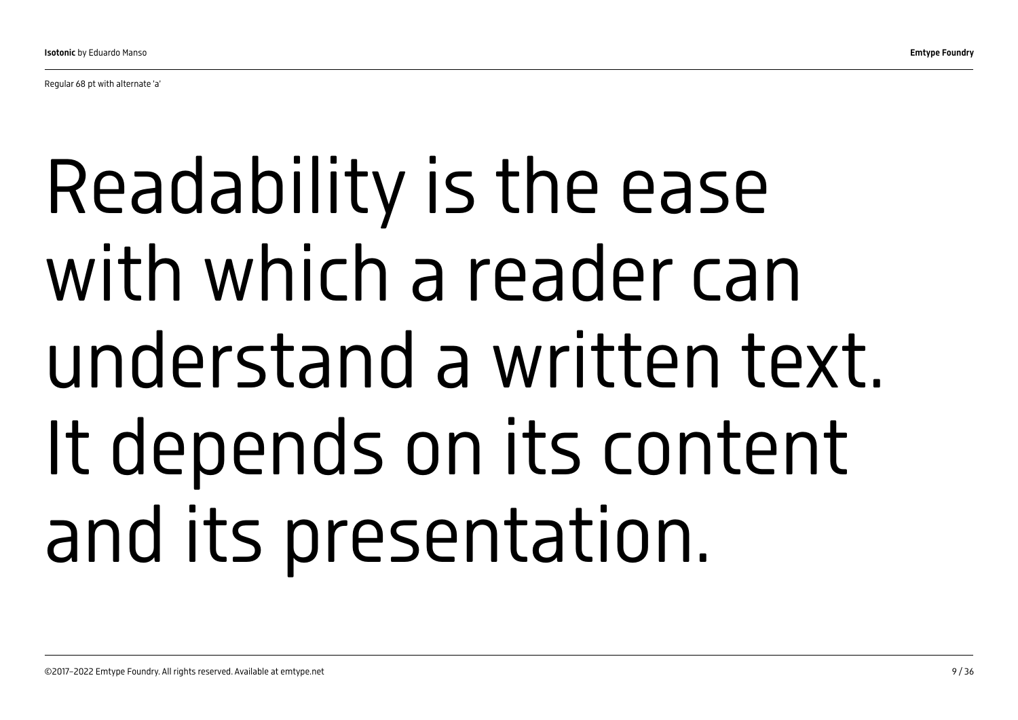Regular 68 pt with alternate 'a'

## Readability is the ease with which a reader can understand a written text. It depends on its content and its presentation.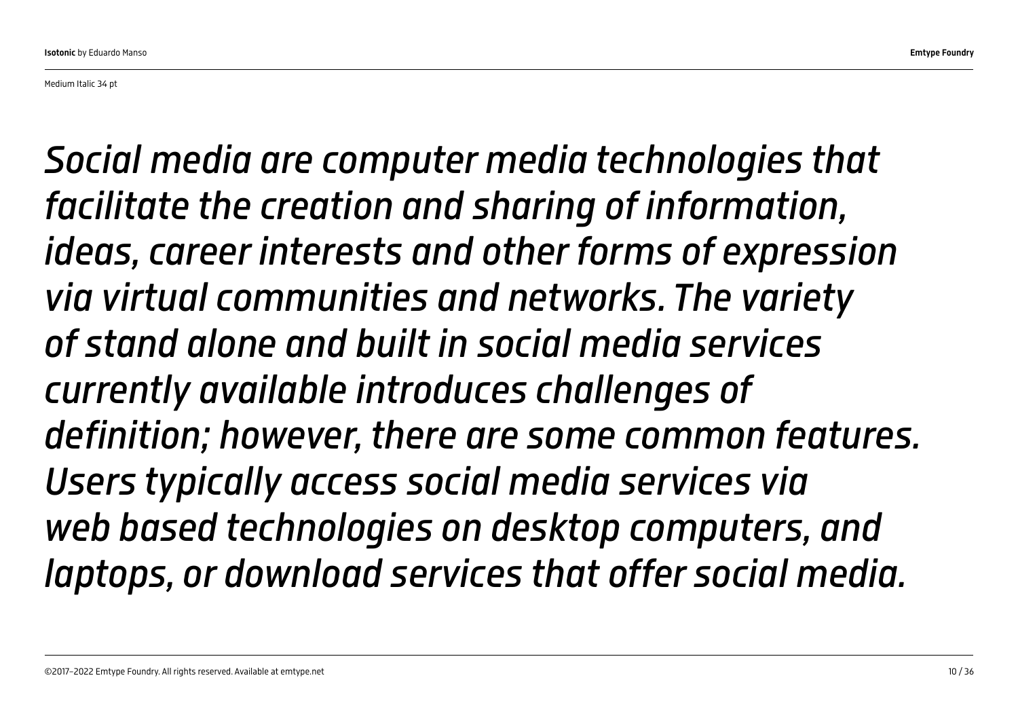*Social media are [computer media](https://en.wikipedia.org/wiki/Computer-mediated_communication) technologies that facilitate the creation and sharing of [information](https://en.wikipedia.org/wiki/Information), ideas, career interests and other forms of expression via [virtual communities](https://en.wikipedia.org/wiki/Virtual_community) and [networks.](https://en.wikipedia.org/wiki/Virtual_network) The variety of stand alone and built in social media services currently available introduces challenges of definition; however, there are some common features. Users typically access social media services via [web based](https://en.wikipedia.org/wiki/World_Wide_Web) technologies on [desktop computers](https://en.wikipedia.org/wiki/Desktop_computer), and [laptops,](https://en.wikipedia.org/wiki/Laptop) or download services that offer social media.*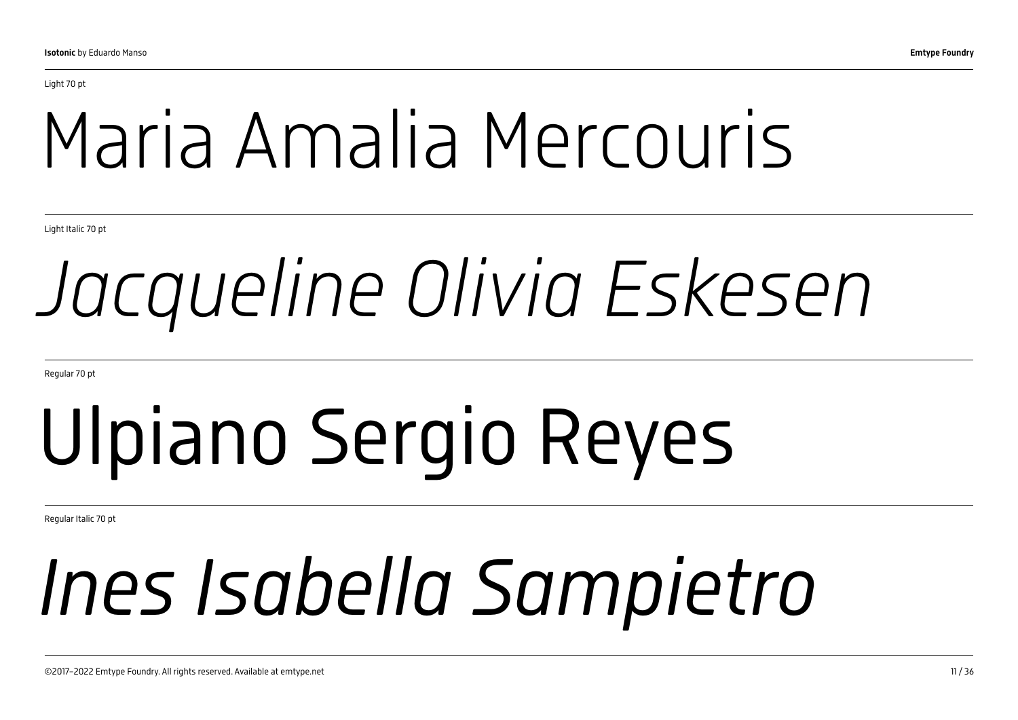## Maria Amalia Mercouris

Light Italic 70 pt

## *Jacqueline Olivia Eskesen*

Regular 70 pt

# Ulpiano Sergio Reyes

Regular Italic 70 pt

## *Ines Isabella Sampietro*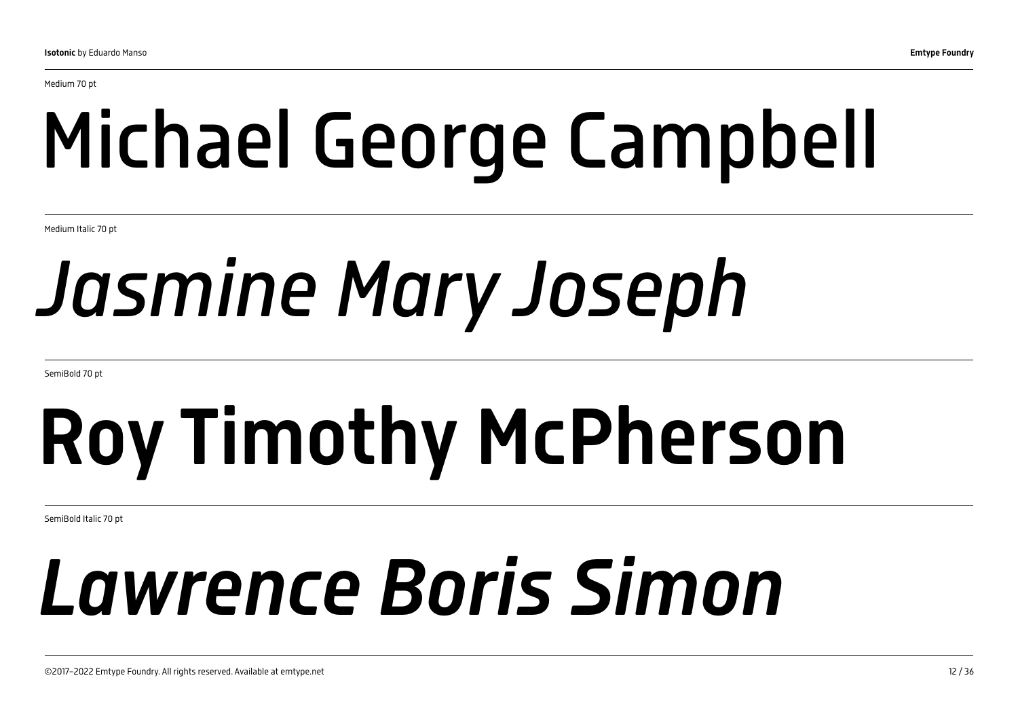# Michael George Campbell

Medium Italic 70 pt

## *Jasmine Mary Joseph*

SemiBold 70 pt

# Roy Timothy McPherson

SemiBold Italic 70 pt

## *Lawrence Boris Simon*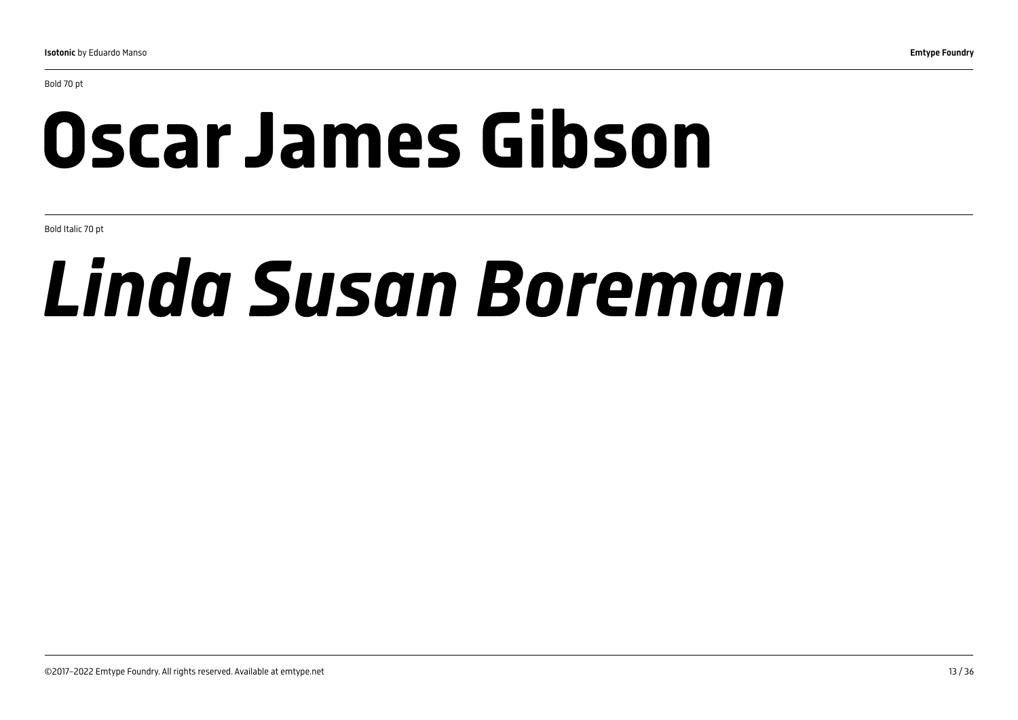Bold 70 pt

## Oscar James Gibson

Bold Italic 70 pt

## *Linda Susan Boreman*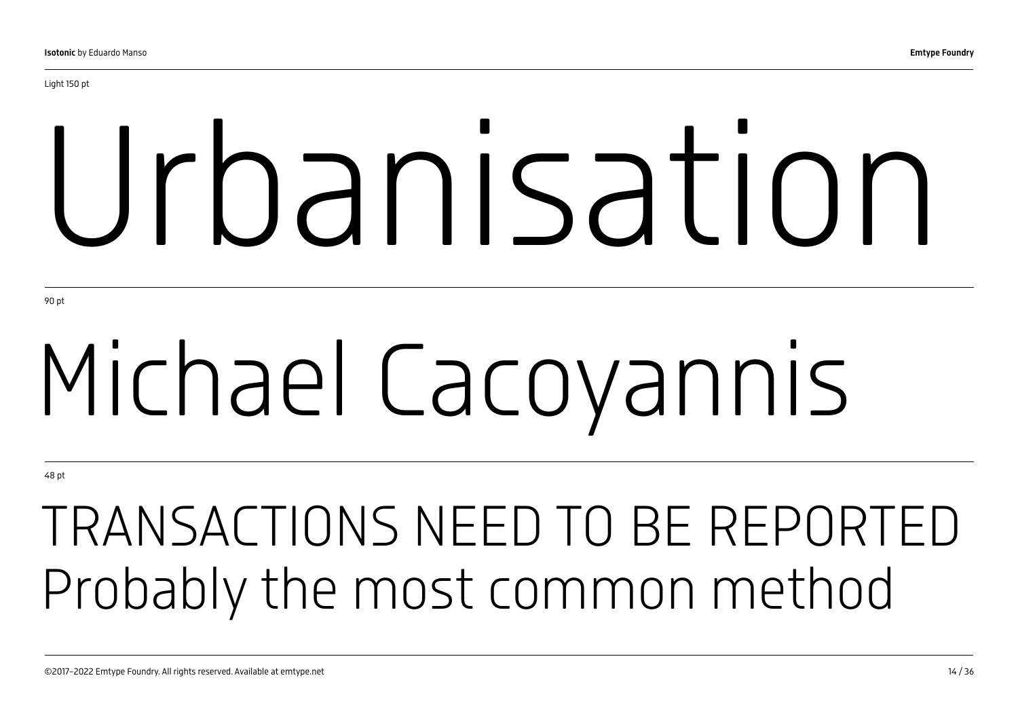# Urbanisation

90 pt

# Michael Cacoyannis

48 pt

## TRANSACTIONS NEED TO BE REPORTED Probably the most common method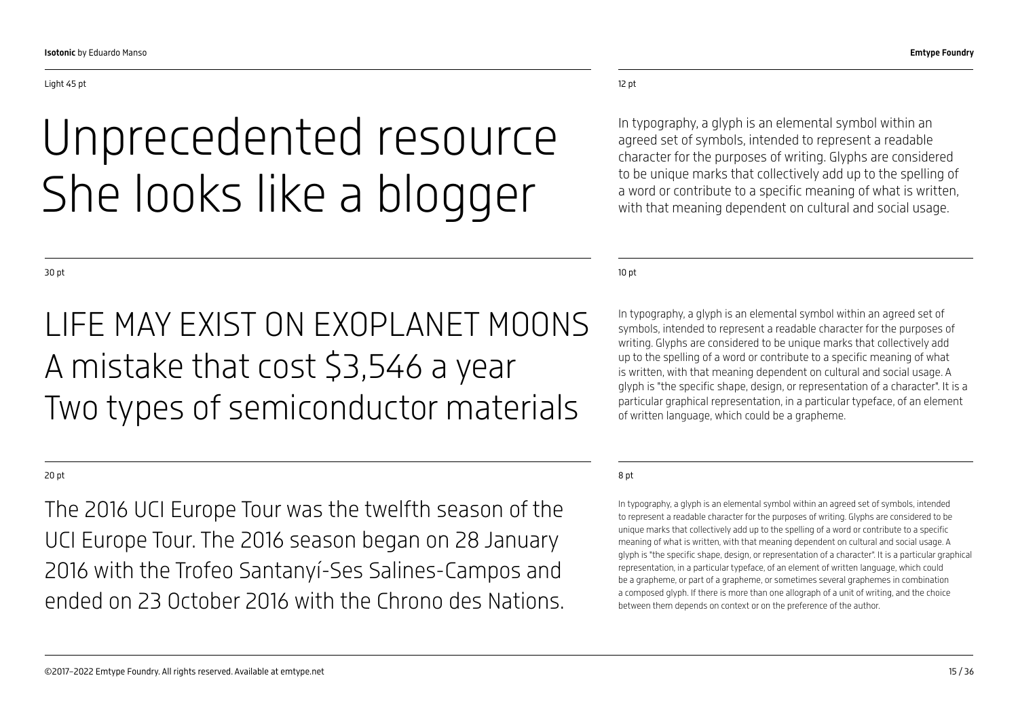## Unprecedented resource She looks like a blogger

#### 12 pt

In typography, a glyph is an elemental symbol within an agreed set of symbols, intended to represent a readable character for the purposes of writing. Glyphs are considered to be unique marks that collectively add up to the spelling of a word or contribute to a specific meaning of what is written, with that meaning dependent on cultural and social usage.

10 pt

In typography, a glyph is an elemental symbol within an agreed set of symbols, intended to represent a readable character for the purposes of writing. Glyphs are considered to be unique marks that collectively add up to the spelling of a word or contribute to a specific meaning of what is written, with that meaning dependent on cultural and social usage. A glyph is "the specific shape, design, or representation of a character". It is a particular graphical representation, in a particular typeface, of an element of written language, which could be a grapheme.

#### 8 pt

In typography, a glyph is an elemental symbol within an agreed set of symbols, intended to represent a readable character for the purposes of writing. Glyphs are considered to be unique marks that collectively add up to the spelling of a word or contribute to a specific meaning of what is written, with that meaning dependent on cultural and social usage. A glyph is "the specific shape, design, or representation of a character". It is a particular graphical representation, in a particular typeface, of an element of written language, which could be a grapheme, or part of a grapheme, or sometimes several graphemes in combination a composed glyph. If there is more than one allograph of a unit of writing, and the choice between them depends on context or on the preference of the author.

30 pt

### LIFE MAY EXIST ON EXOPLANET MOONS A mistake that cost \$3,546 a year Two types of semiconductor materials

#### 20 pt

The 2016 UCI Europe Tour was the twelfth season of the UCI Europe Tour. The 2016 season began on 28 January 2016 with the Trofeo Santanyí-Ses Salines-Campos and ended on 23 October 2016 with the Chrono des Nations.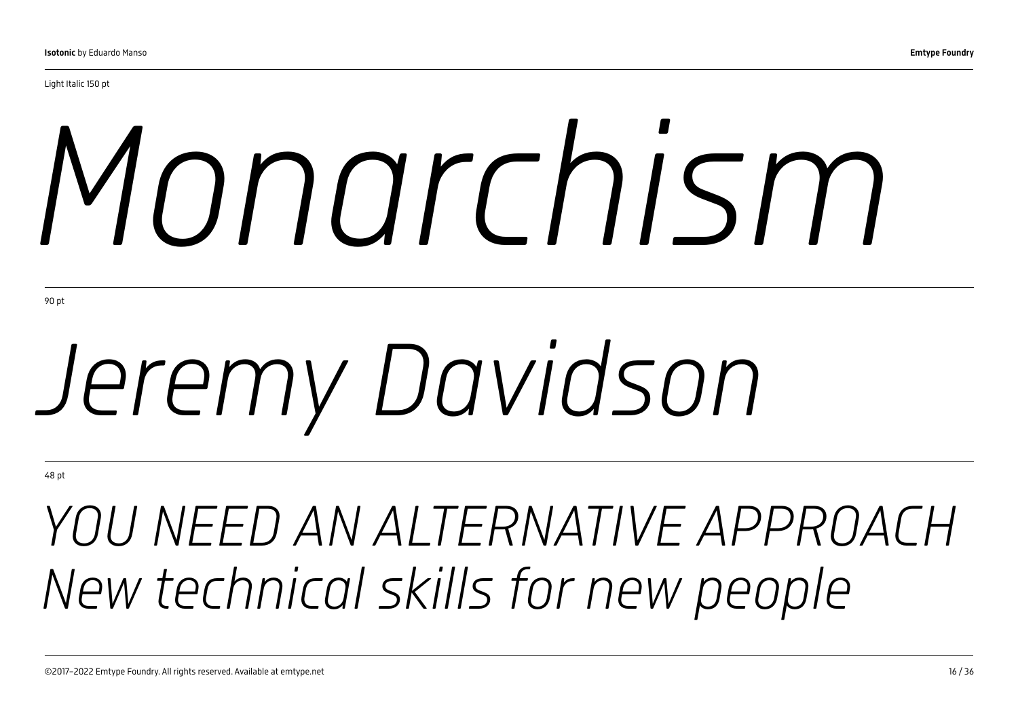# *Monarchism*

90 pt

# *Jeremy Davidson*

48 pt

## *YOU NEED AN ALTERNATIVE APPROACH New technical skills for new people*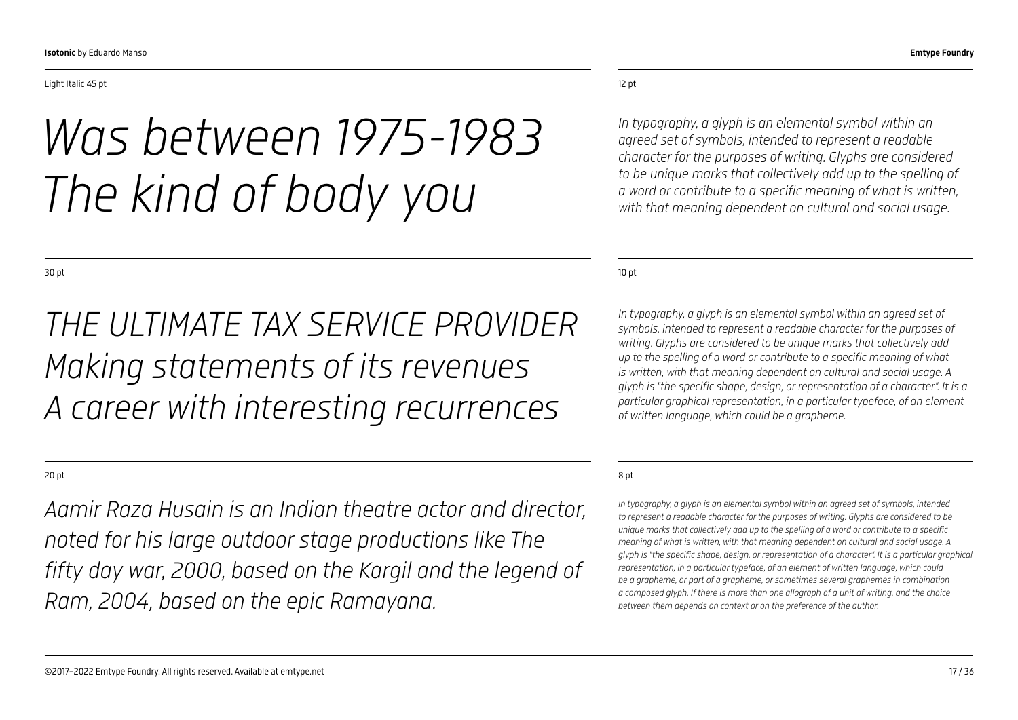#### Light Italic 45 pt

*Was between 1975-1983 The kind of body you* 

10 pt

*In typography, a glyph is an elemental symbol within an agreed set of symbols, intended to represent a readable character for the purposes of writing. Glyphs are considered to be unique marks that collectively add up to the spelling of a word or contribute to a specific meaning of what is written, with that meaning dependent on cultural and social usage. A glyph is "the specific shape, design, or representation of a character". It is a particular graphical representation, in a particular typeface, of an element of written language, which could be a grapheme.*

*character for the purposes of writing. Glyphs are considered to be unique marks that collectively add up to the spelling of a word or contribute to a specific meaning of what is written, with that meaning dependent on cultural and social usage.* 

#### 8 pt

*In typography, a glyph is an elemental symbol within an agreed set of symbols, intended to represent a readable character for the purposes of writing. Glyphs are considered to be unique marks that collectively add up to the spelling of a word or contribute to a specific meaning of what is written, with that meaning dependent on cultural and social usage. A glyph is "the specific shape, design, or representation of a character". It is a particular graphical representation, in a particular typeface, of an element of written language, which could be a grapheme, or part of a grapheme, or sometimes several graphemes in combination a composed glyph. If there is more than one allograph of a unit of writing, and the choice between them depends on context or on the preference of the author.*

30 pt

### *THE ULTIMATE TAX SERVICE PROVIDER Making statements of its revenues A career with interesting recurrences*

#### 20 pt

*Aamir Raza Husain is an Indian theatre actor and director, noted for his large outdoor stage productions like The fifty day war, 2000, based on the Kargil and the legend of Ram, 2004, based on the epic Ramayana.*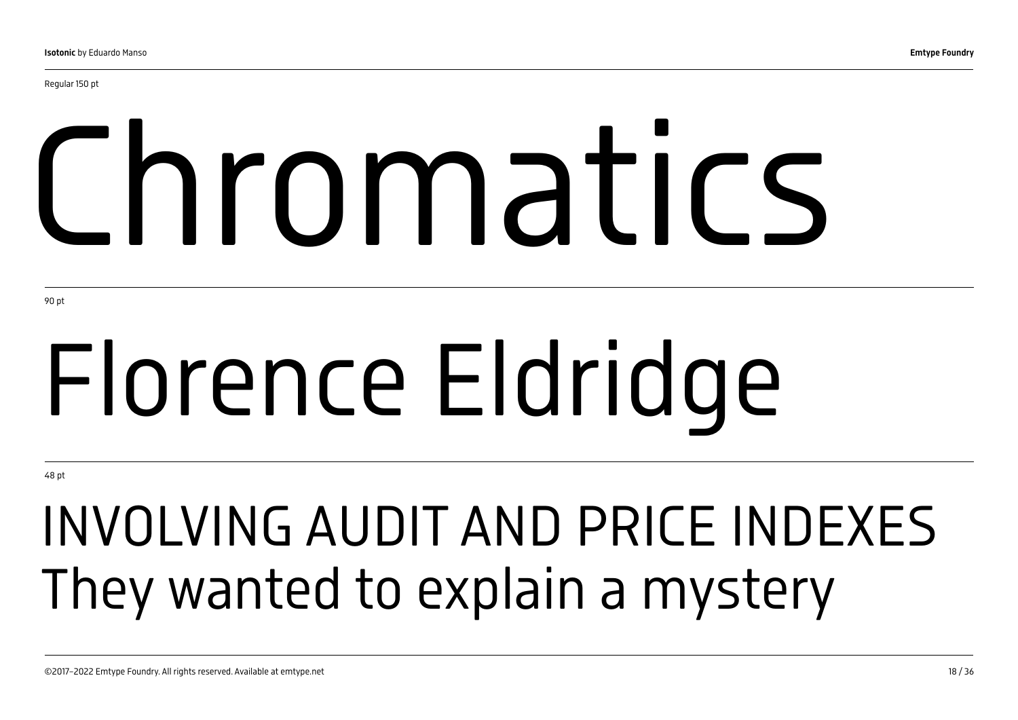Regular 150 pt

# Chromatics

90 pt

# Florence Eldridge

48 pt

## INVOLVING AUDIT AND PRICE INDEXES They wanted to explain a mystery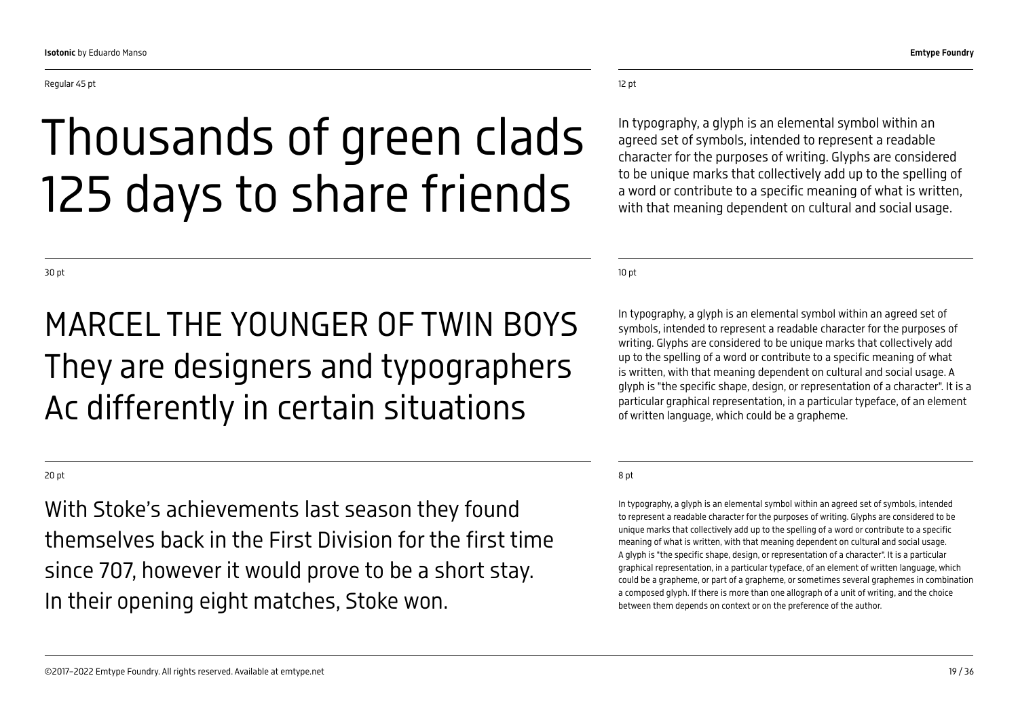## Thousands of green clads 125 days to share friends

#### 12 pt

In typography, a glyph is an elemental symbol within an agreed set of symbols, intended to represent a readable character for the purposes of writing. Glyphs are considered to be unique marks that collectively add up to the spelling of a word or contribute to a specific meaning of what is written, with that meaning dependent on cultural and social usage.

10 pt

In typography, a glyph is an elemental symbol within an agreed set of symbols, intended to represent a readable character for the purposes of writing. Glyphs are considered to be unique marks that collectively add up to the spelling of a word or contribute to a specific meaning of what is written, with that meaning dependent on cultural and social usage. A glyph is "the specific shape, design, or representation of a character". It is a particular graphical representation, in a particular typeface, of an element of written language, which could be a grapheme.

#### 8 pt

In typography, a glyph is an elemental symbol within an agreed set of symbols, intended to represent a readable character for the purposes of writing. Glyphs are considered to be unique marks that collectively add up to the spelling of a word or contribute to a specific meaning of what is written, with that meaning dependent on cultural and social usage. A glyph is "the specific shape, design, or representation of a character". It is a particular graphical representation, in a particular typeface, of an element of written language, which could be a grapheme, or part of a grapheme, or sometimes several graphemes in combination a composed glyph. If there is more than one allograph of a unit of writing, and the choice between them depends on context or on the preference of the author.

30 pt

### MARCEL THE YOUNGER OF TWIN BOYS They are designers and typographers Ac differently in certain situations

#### 20 pt

With Stoke's achievements last season they found themselves back in the First Division for the first time since 707, however it would prove to be a short stay. In their opening eight matches, Stoke won.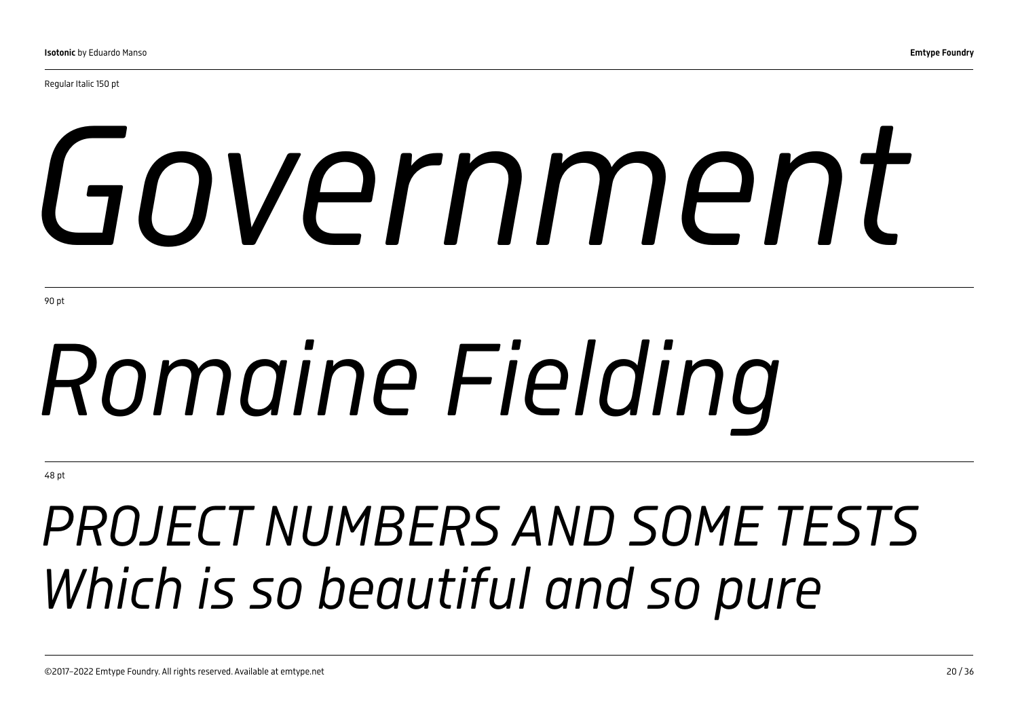Regular Italic 150 pt

# *Government*

90 pt

# *Romaine Fielding*

48 pt

## *PROJECT NUMBERS AND SOME TESTS Which is so beautiful and so pure*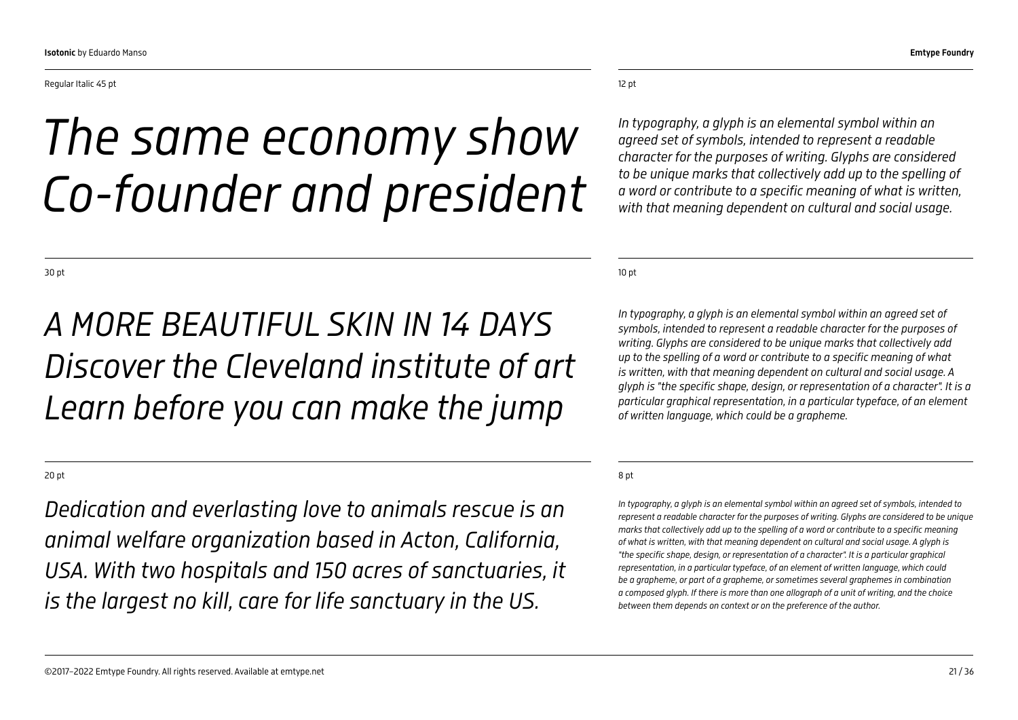#### Regular Italic 45 pt

## *The same economy show Co-founder and president*

10 pt

12 pt

*In typography, a glyph is an elemental symbol within an agreed set of symbols, intended to represent a readable character for the purposes of writing. Glyphs are considered to be unique marks that collectively add up to the spelling of a word or contribute to a specific meaning of what is written, with that meaning dependent on cultural and social usage. A glyph is "the specific shape, design, or representation of a character". It is a particular graphical representation, in a particular typeface, of an element of written language, which could be a grapheme.*

*In typography, a glyph is an elemental symbol within an agreed set of symbols, intended to represent a readable character for the purposes of writing. Glyphs are considered to be unique marks that collectively add up to the spelling of a word or contribute to a specific meaning of what is written, with that meaning dependent on cultural and social usage.* 

#### 8 pt

*In typography, a glyph is an elemental symbol within an agreed set of symbols, intended to represent a readable character for the purposes of writing. Glyphs are considered to be unique marks that collectively add up to the spelling of a word or contribute to a specific meaning of what is written, with that meaning dependent on cultural and social usage. A glyph is "the specific shape, design, or representation of a character". It is a particular graphical representation, in a particular typeface, of an element of written language, which could be a grapheme, or part of a grapheme, or sometimes several graphemes in combination a composed glyph. If there is more than one allograph of a unit of writing, and the choice between them depends on context or on the preference of the author.*

30 pt

### *A MORE BEAUTIFUL SKIN IN 14 DAYS Discover the Cleveland institute of art Learn before you can make the jump*

20 pt

*Dedication and everlasting love to animals rescue is an animal welfare organization based in Acton, California, USA. With two hospitals and 150 acres of sanctuaries, it is the largest no kill, care for life sanctuary in the US.*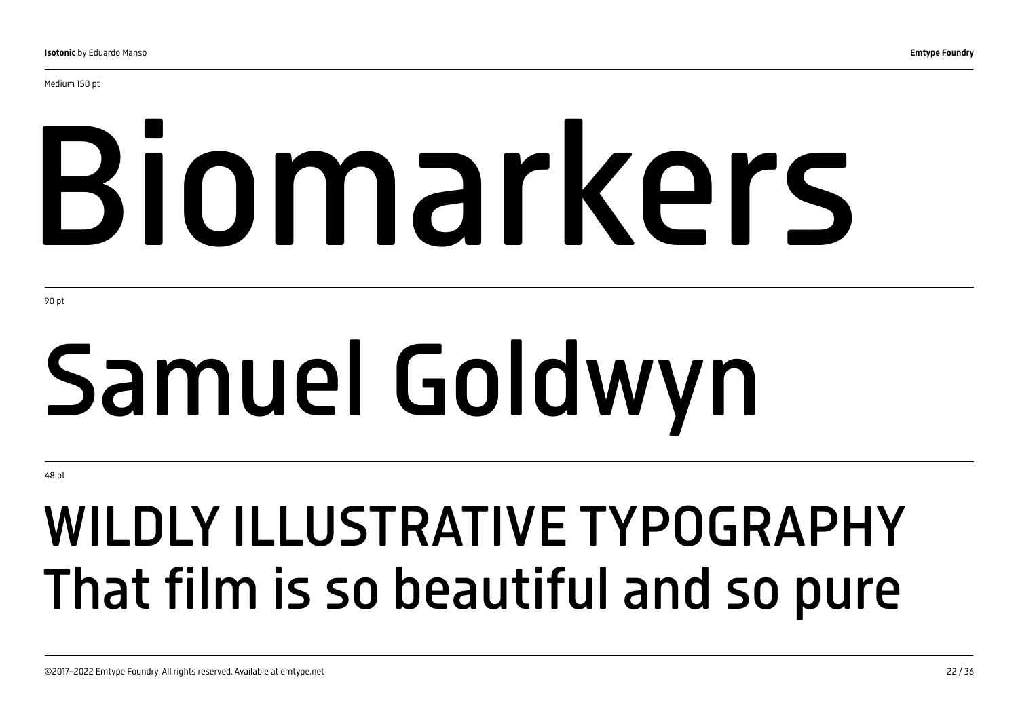Medium 150 pt

# Biomarkers

90 pt

# Samuel Goldwyn

48 pt

## WILDLY ILLUSTRATIVE TYPOGRAPHY That film is so beautiful and so pure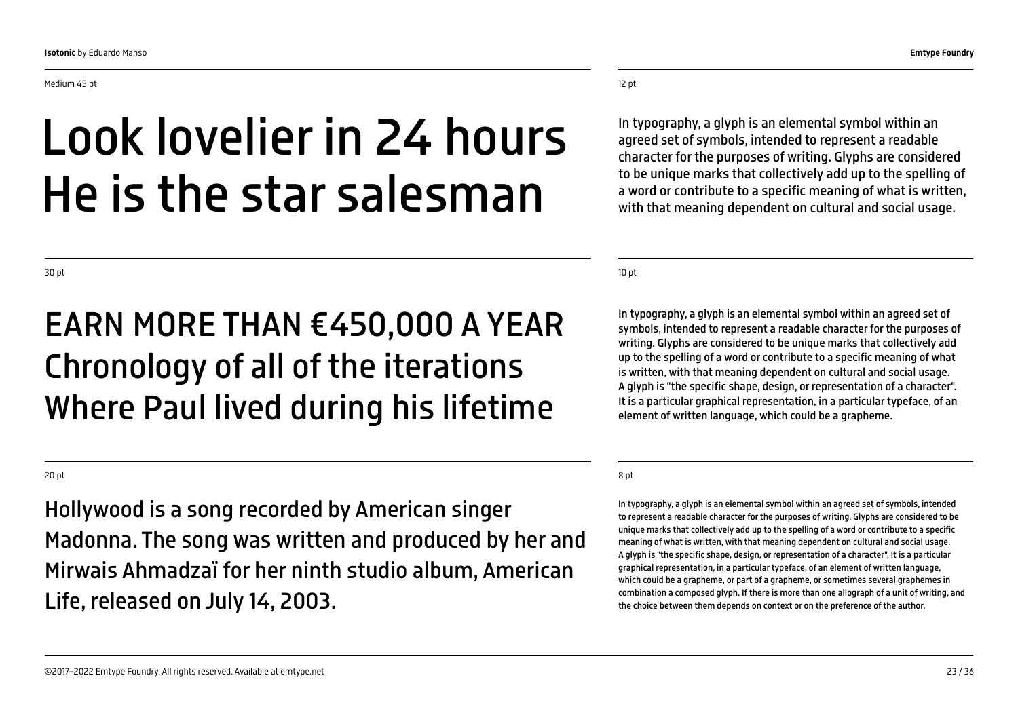Medium 45 pt

### Look lovelier in 24 hours He is the star salesman

12 pt

In typography, a glyph is an elemental symbol within an agreed set of symbols, intended to represent a readable character for the purposes of writing. Glyphs are considered to be unique marks that collectively add up to the spelling of a word or contribute to a specific meaning of what is written, with that meaning dependent on cultural and social usage.

10 pt

In typography, a glyph is an elemental symbol within an agreed set of symbols, intended to represent a readable character for the purposes of writing. Glyphs are considered to be unique marks that collectively add up to the spelling of a word or contribute to a specific meaning of what is written, with that meaning dependent on cultural and social usage. A glyph is "the specific shape, design, or representation of a character". It is a particular graphical representation, in a particular typeface, of an element of written language, which could be a grapheme.

#### 8 pt

In typography, a glyph is an elemental symbol within an agreed set of symbols, intended to represent a readable character for the purposes of writing. Glyphs are considered to be unique marks that collectively add up to the spelling of a word or contribute to a specific meaning of what is written, with that meaning dependent on cultural and social usage. A glyph is "the specific shape, design, or representation of a character". It is a particular graphical representation, in a particular typeface, of an element of written language, which could be a grapheme, or part of a grapheme, or sometimes several graphemes in combination a composed glyph. If there is more than one allograph of a unit of writing, and the choice between them depends on context or on the preference of the author.

30 pt

### EARN MORE THAN €450,000 A YEAR Chronology of all of the iterations Where Paul lived during his lifetime

20 pt

Hollywood is a song recorded by American singer Madonna. The song was written and produced by her and Mirwais Ahmadzaï for her ninth studio album, American Life, released on July 14, 2003.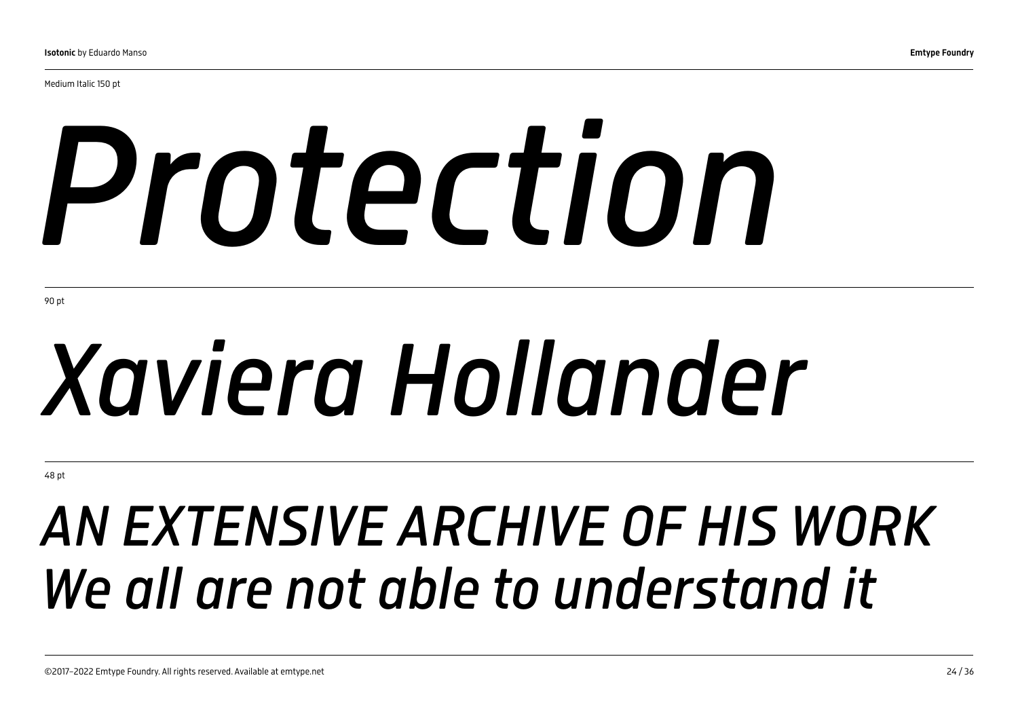Medium Italic 150 pt

# *Protection*

90 pt

# *Xaviera Hollander*

48 pt

## *AN EXTENSIVE ARCHIVE OF HIS WORK We all are not able to understand it*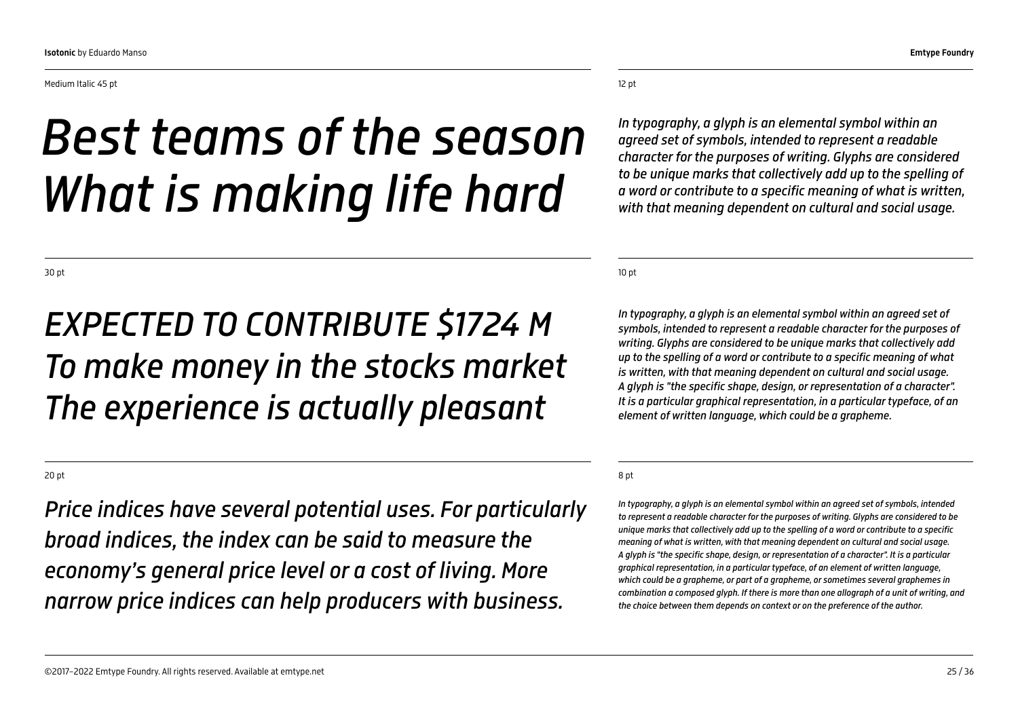## *Best teams of the season What is making life hard*

30 pt

### *EXPECTED TO CONTRIBUTE \$1724 M To make money in the stocks market The experience is actually pleasant*

#### 20 pt

*Price indices have several potential uses. For particularly broad indices, the index can be said to measure the economy's general price level or a cost of living. More narrow price indices can help producers with business.*

#### 12 pt

*In typography, a glyph is an elemental symbol within an agreed set of symbols, intended to represent a readable character for the purposes of writing. Glyphs are considered to be unique marks that collectively add up to the spelling of a word or contribute to a specific meaning of what is written, with that meaning dependent on cultural and social usage.* 

10 pt

*In typography, a glyph is an elemental symbol within an agreed set of symbols, intended to represent a readable character for the purposes of writing. Glyphs are considered to be unique marks that collectively add up to the spelling of a word or contribute to a specific meaning of what is written, with that meaning dependent on cultural and social usage. A glyph is "the specific shape, design, or representation of a character". It is a particular graphical representation, in a particular typeface, of an element of written language, which could be a grapheme.*

#### 8 pt

*In typography, a glyph is an elemental symbol within an agreed set of symbols, intended to represent a readable character for the purposes of writing. Glyphs are considered to be unique marks that collectively add up to the spelling of a word or contribute to a specific meaning of what is written, with that meaning dependent on cultural and social usage. A glyph is "the specific shape, design, or representation of a character". It is a particular graphical representation, in a particular typeface, of an element of written language, which could be a grapheme, or part of a grapheme, or sometimes several graphemes in combination a composed glyph. If there is more than one allograph of a unit of writing, and the choice between them depends on context or on the preference of the author.*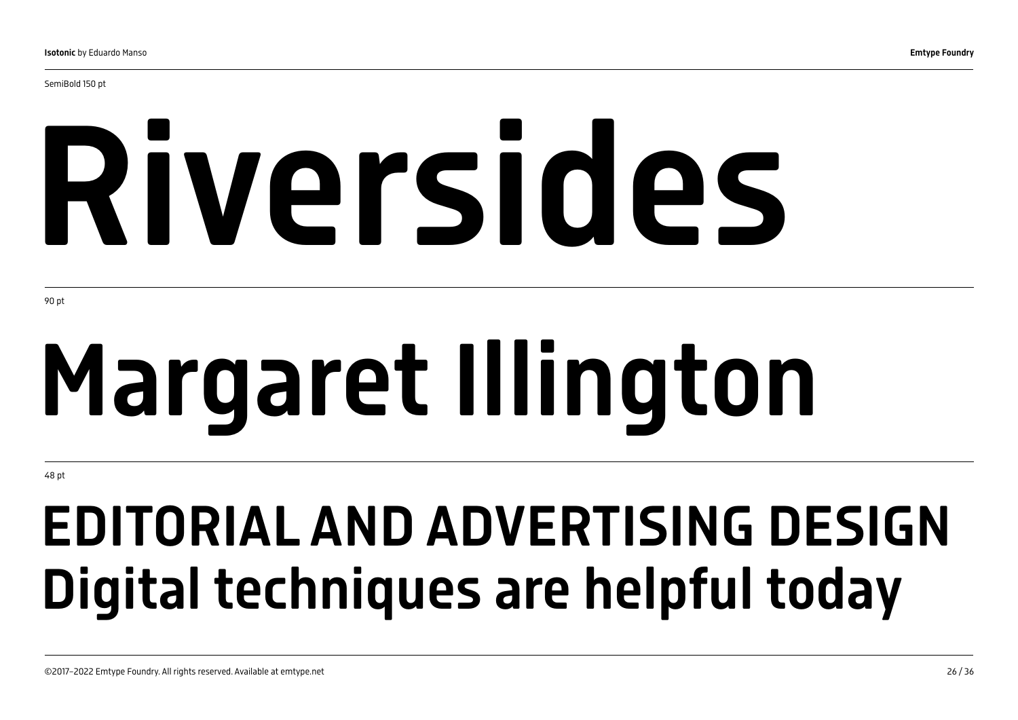SemiBold 150 pt

# Riversides

90 pt

# Margaret Illington

48 pt

## EDITORIAL AND ADVERTISING DESIGN Digital techniques are helpful today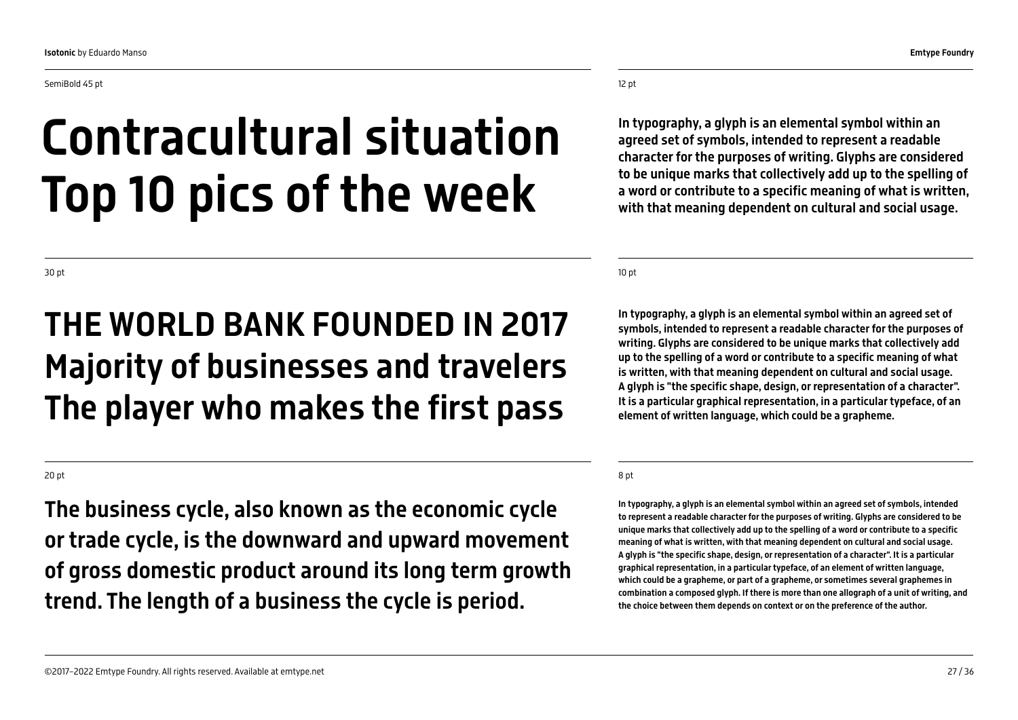SemiBold 45 pt

#### 12 pt

## Contracultural situation Top 10 pics of the week

In typography, a glyph is an elemental symbol within an agreed set of symbols, intended to represent a readable character for the purposes of writing. Glyphs are considered to be unique marks that collectively add up to the spelling of a word or contribute to a specific meaning of what is written, with that meaning dependent on cultural and social usage.

10 pt

In typography, a glyph is an elemental symbol within an agreed set of symbols, intended to represent a readable character for the purposes of writing. Glyphs are considered to be unique marks that collectively add up to the spelling of a word or contribute to a specific meaning of what is written, with that meaning dependent on cultural and social usage. A glyph is "the specific shape, design, or representation of a character". It is a particular graphical representation, in a particular typeface, of an element of written language, which could be a grapheme.

#### 8 pt

In typography, a glyph is an elemental symbol within an agreed set of symbols, intended to represent a readable character for the purposes of writing. Glyphs are considered to be unique marks that collectively add up to the spelling of a word or contribute to a specific meaning of what is written, with that meaning dependent on cultural and social usage. A glyph is "the specific shape, design, or representation of a character". It is a particular graphical representation, in a particular typeface, of an element of written language, which could be a grapheme, or part of a grapheme, or sometimes several graphemes in combination a composed glyph. If there is more than one allograph of a unit of writing, and the choice between them depends on context or on the preference of the author.

30 pt

### THE WORLD BANK FOUNDED IN 2017 Majority of businesses and travelers The player who makes the first pass

20 pt

The business cycle, also known as the economic cycle or trade cycle, is the downward and upward movement of gross domestic product around its long term growth trend. The length of a business the cycle is period.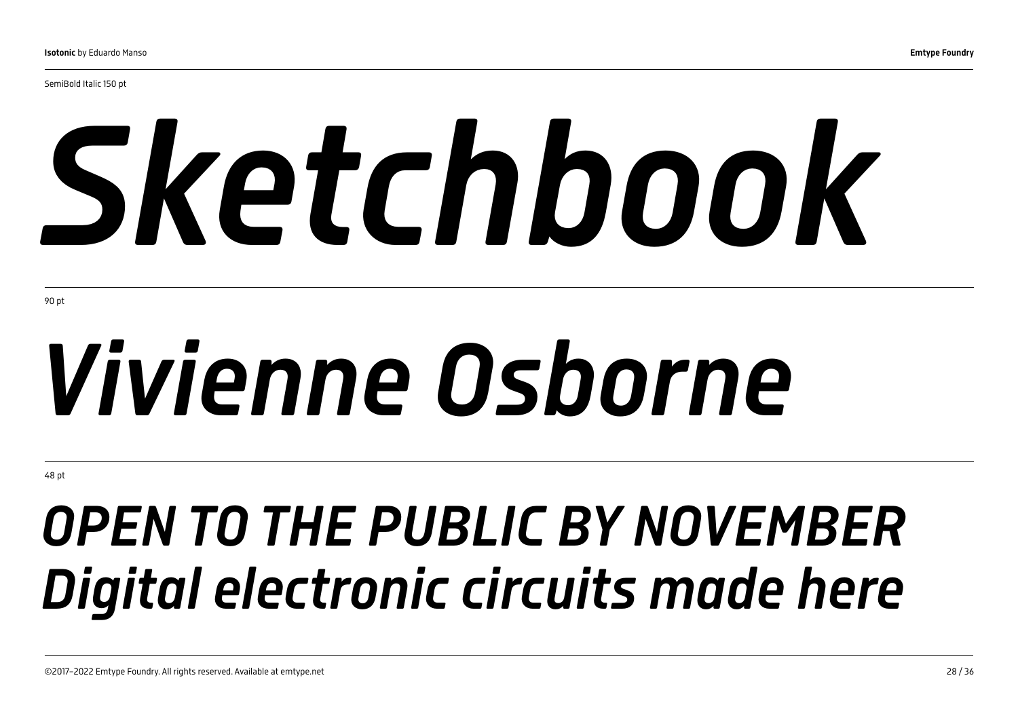SemiBold Italic 150 pt

# *Sketchbook*

90 pt

# *Vivienne Osborne*

48 pt

## *OPEN TO THE PUBLIC BY NOVEMBER Digital electronic circuits made here*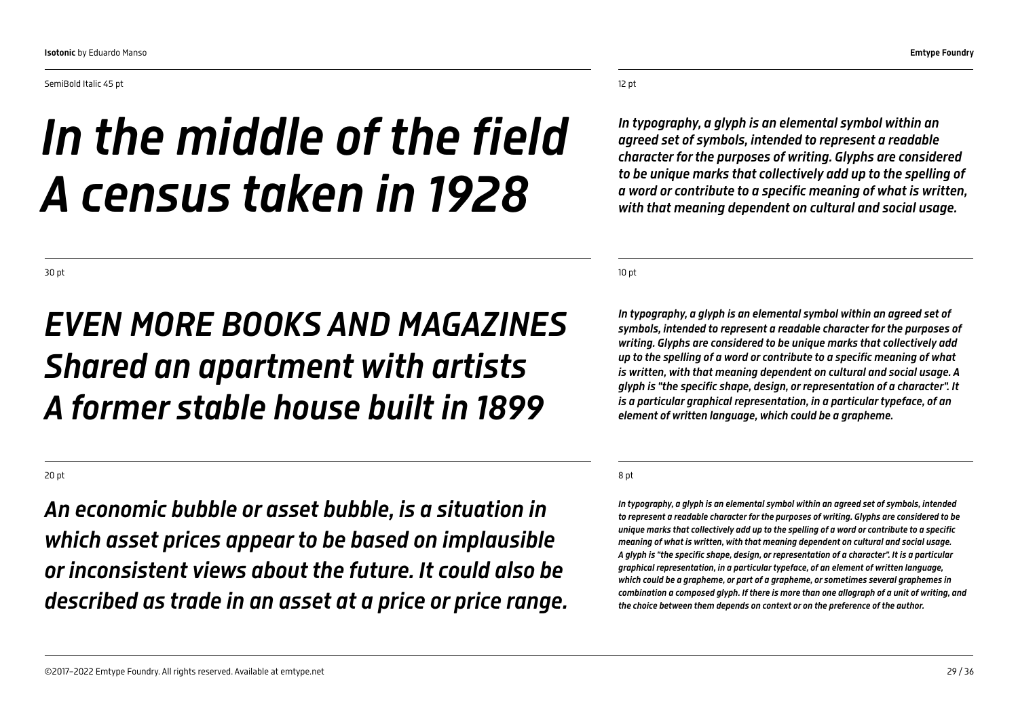SemiBold Italic 45 pt

## *In the middle of the field A census taken in 1928*

12 pt

*In typography, a glyph is an elemental symbol within an agreed set of symbols, intended to represent a readable character for the purposes of writing. Glyphs are considered to be unique marks that collectively add up to the spelling of a word or contribute to a specific meaning of what is written, with that meaning dependent on cultural and social usage.* 

10 pt

*In typography, a glyph is an elemental symbol within an agreed set of symbols, intended to represent a readable character for the purposes of writing. Glyphs are considered to be unique marks that collectively add up to the spelling of a word or contribute to a specific meaning of what is written, with that meaning dependent on cultural and social usage. A glyph is "the specific shape, design, or representation of a character". It is a particular graphical representation, in a particular typeface, of an element of written language, which could be a grapheme.*

#### 8 pt

*In typography, a glyph is an elemental symbol within an agreed set of symbols, intended to represent a readable character for the purposes of writing. Glyphs are considered to be unique marks that collectively add up to the spelling of a word or contribute to a specific meaning of what is written, with that meaning dependent on cultural and social usage. A glyph is "the specific shape, design, or representation of a character". It is a particular graphical representation, in a particular typeface, of an element of written language, which could be a grapheme, or part of a grapheme, or sometimes several graphemes in combination a composed glyph. If there is more than one allograph of a unit of writing, and the choice between them depends on context or on the preference of the author.*

30 pt

### *EVEN MORE BOOKS AND MAGAZINES Shared an apartment with artists A former stable house built in 1899*

#### 20 pt

*An economic bubble or asset bubble, is a situation in which asset prices appear to be based on implausible or inconsistent views about the future. It could also be described as trade in an asset at a price or price range.*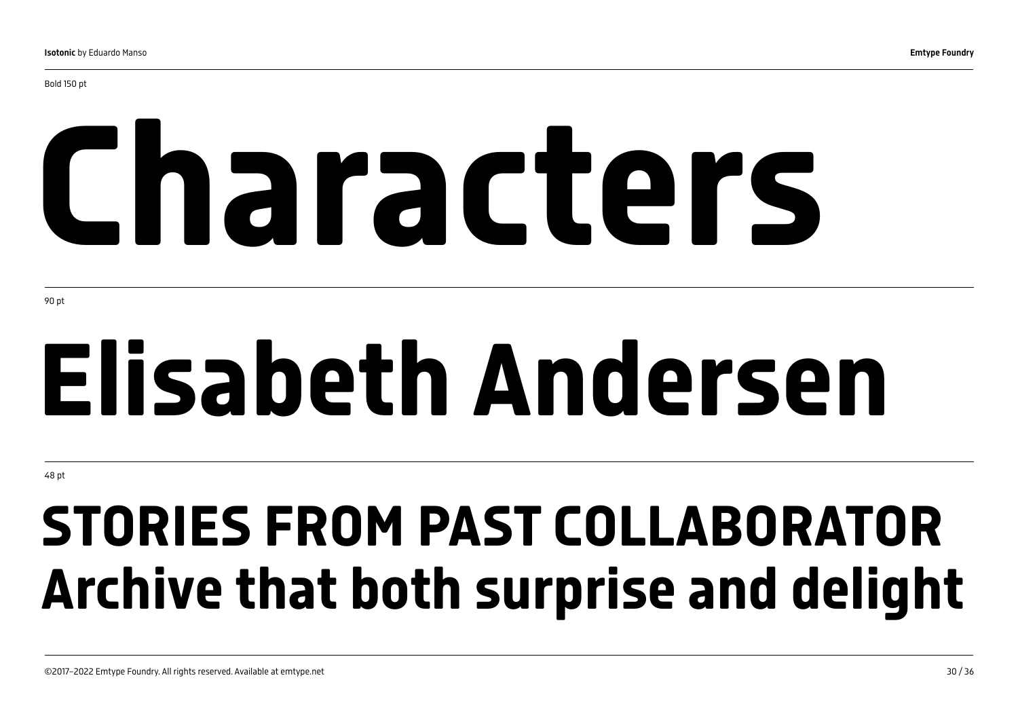# Characters

90 pt

# Elisabeth Andersen

48 pt

## STORIES FROM PAST COLLABORATOR Archive that both surprise and delight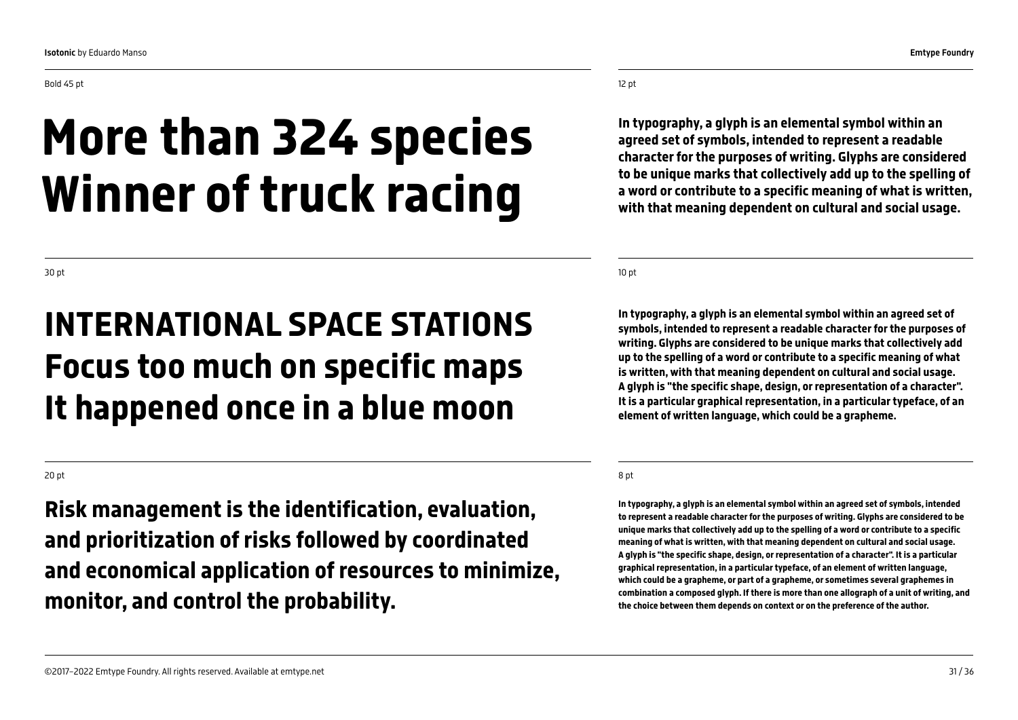#### 12 pt

In typography, a glyph is an elemental symbol within an agreed set of symbols, intended to represent a readable character for the purposes of writing. Glyphs are considered to be unique marks that collectively add up to the spelling of a word or contribute to a specific meaning of what is written, with that meaning dependent on cultural and social usage.

10 pt

In typography, a glyph is an elemental symbol within an agreed set of symbols, intended to represent a readable character for the purposes of writing. Glyphs are considered to be unique marks that collectively add up to the spelling of a word or contribute to a specific meaning of what is written, with that meaning dependent on cultural and social usage. A glyph is "the specific shape, design, or representation of a character". It is a particular graphical representation, in a particular typeface, of an element of written language, which could be a grapheme.

#### 8 pt

In typography, a glyph is an elemental symbol within an agreed set of symbols, intended to represent a readable character for the purposes of writing. Glyphs are considered to be unique marks that collectively add up to the spelling of a word or contribute to a specific meaning of what is written, with that meaning dependent on cultural and social usage. A glyph is "the specific shape, design, or representation of a character". It is a particular graphical representation, in a particular typeface, of an element of written language, which could be a grapheme, or part of a grapheme, or sometimes several graphemes in combination a composed glyph. If there is more than one allograph of a unit of writing, and the choice between them depends on context or on the preference of the author.

30 pt

### INTERNATIONAL SPACE STATIONS Focus too much on specific maps It happened once in a blue moon

Winner of truck racing

#### 20 pt

Risk management is the identification, evaluation, and prioritization of risks followed by coordinated and economical application of resources to minimize, monitor, and control the probability.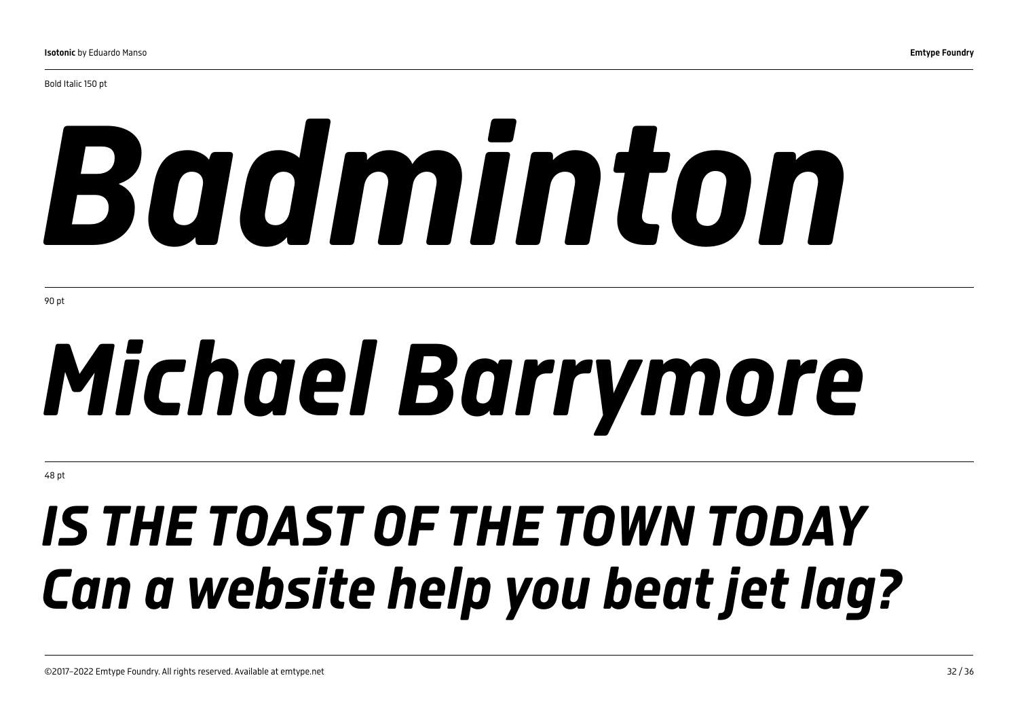Bold Italic 150 pt

# *Badminton*

90 pt

# *Michael Barrymore*

48 pt

## *IS THE TOAST OF THE TOWN TODAY Can a website help you beat jet lag?*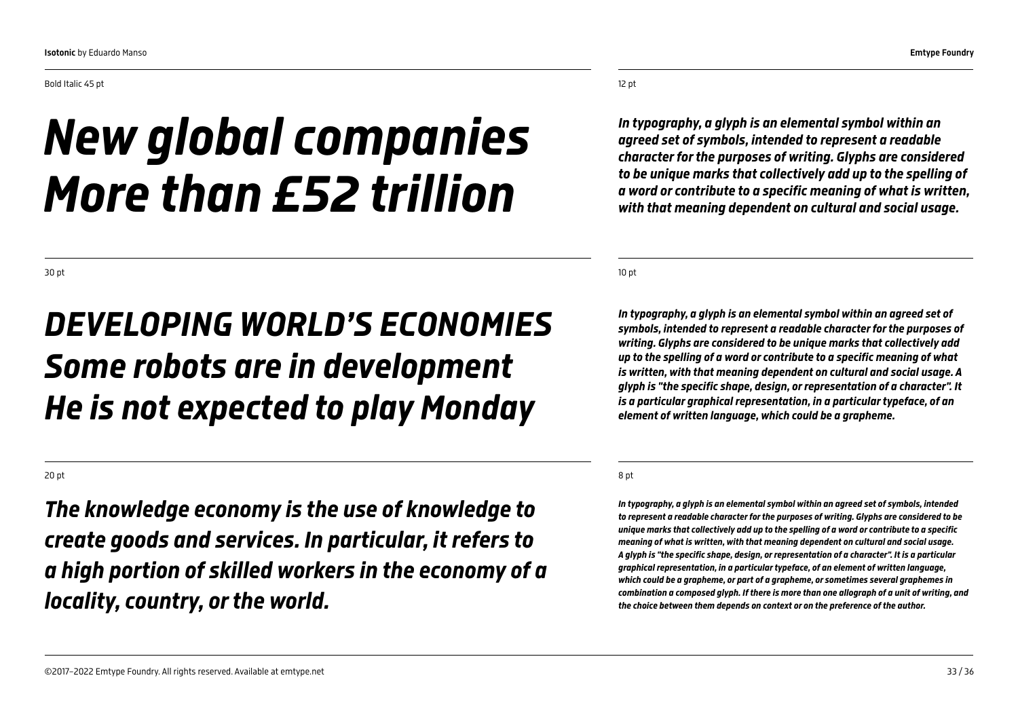Bold Italic 45 pt

## *New global companies More than £52 trillion*

12 pt

*In typography, a glyph is an elemental symbol within an agreed set of symbols, intended to represent a readable character for the purposes of writing. Glyphs are considered to be unique marks that collectively add up to the spelling of a word or contribute to a specific meaning of what is written, with that meaning dependent on cultural and social usage.* 

10 pt

*In typography, a glyph is an elemental symbol within an agreed set of symbols, intended to represent a readable character for the purposes of writing. Glyphs are considered to be unique marks that collectively add up to the spelling of a word or contribute to a specific meaning of what is written, with that meaning dependent on cultural and social usage. A glyph is "the specific shape, design, or representation of a character". It is a particular graphical representation, in a particular typeface, of an element of written language, which could be a grapheme.*

#### 8 pt

*In typography, a glyph is an elemental symbol within an agreed set of symbols, intended to represent a readable character for the purposes of writing. Glyphs are considered to be unique marks that collectively add up to the spelling of a word or contribute to a specific meaning of what is written, with that meaning dependent on cultural and social usage. A glyph is "the specific shape, design, or representation of a character". It is a particular graphical representation, in a particular typeface, of an element of written language, which could be a grapheme, or part of a grapheme, or sometimes several graphemes in combination a composed glyph. If there is more than one allograph of a unit of writing, and the choice between them depends on context or on the preference of the author.*

30 pt

### *DEVELOPING WORLD'S ECONOMIES Some robots are in development He is not expected to play Monday*

20 pt

*The knowledge economy is the use of knowledge to create goods and services. In particular, it refers to a high portion of skilled workers in the economy of a locality, country, or the world.*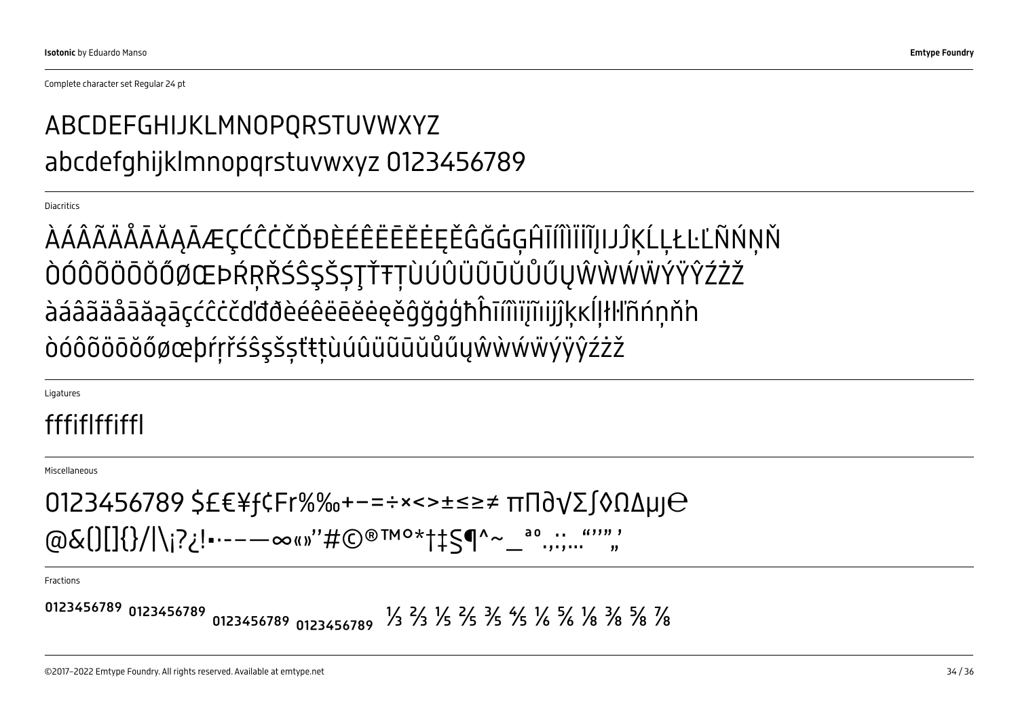Complete character set Regular 24 pt

### ABCDEFGHIJKLMNOPQRSTUVWXYZ abcdefghijklmnopqrstuvwxyz 0123456789

**Diacritics** 

ÀÁÂÃÄÅĀĂĄĀÆÇĆĈĊČĎĐÈÉÊËĒĔĖĘĚĜĞĠĢĤĪÍÎÌÏİĨĮIJĴĶĹĻŁĿĽÑŃŅŇ ÒÓÔÕÖŌŎŐØŒÞŔŖŘŚŜŞŠȘŢŤŦȚÙÚÛÜŨŪŬŮŰŲŴẀẂẄÝŸŶŹŻŽ àáâãäåāăąāçćĉċčďđðèéêëēĕėęěĝğġģħĥīíîìïįĩıijĵķĸĺļłŀľñńņň'n òóôõöōŏőøœþŕŗřśŝşšșťŧțùúûüũūŭůűųŵẁẃẅýÿŷźżž

**Ligatures** 

#### fffiflffiffl

Miscellaneous

 $0123456789$  \$£€¥f¢Fr%‰+−=÷×<>±≤≥≠ πΠ∂ $\sqrt{\Sigma}$ ∫◊ $\Omega$ Δμ $\Theta$ @&()[]{}/|\¡?¿!•·-–—∞«»"#©®™°\*†‡§¶^~\_ª°……""","

Fractions

�¹²³������ ���������� ₀₁₂₃₄₅₆₇�� ⅓ ⅔ ⅕ ⅖ ⅗ ⅘ ⅙ ⅚ ⅛ ⅜ ⅝ ⅞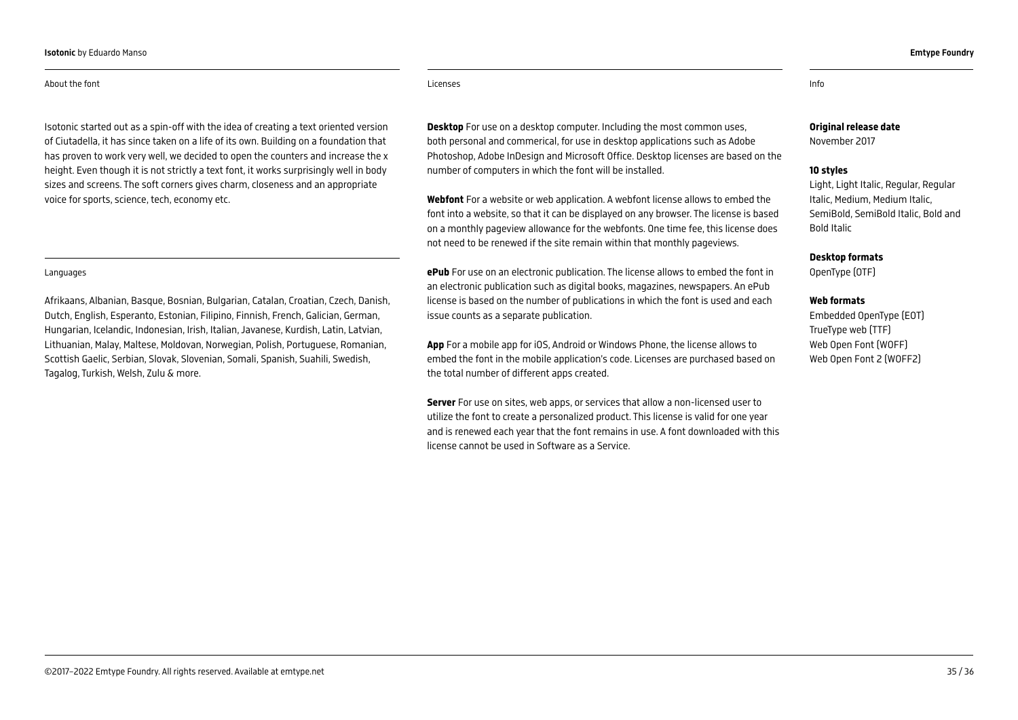#### About the font

Isotonic started out as a spin-off with the idea of creating a text oriented version of Ciutadella, it has since taken on a life of its own. Building on a foundation that has proven to work very well, we decided to open the counters and increase the x height. Even though it is not strictly a text font, it works surprisingly well in body sizes and screens. The soft corners gives charm, closeness and an appropriate voice for sports, science, tech, economy etc.

#### Languages

Afrikaans, Albanian, Basque, Bosnian, Bulgarian, Catalan, Croatian, Czech, Danish, Dutch, English, Esperanto, Estonian, Filipino, Finnish, French, Galician, German, Hungarian, Icelandic, Indonesian, Irish, Italian, Javanese, Kurdish, Latin, Latvian, Lithuanian, Malay, Maltese, Moldovan, Norwegian, Polish, Portuguese, Romanian, Scottish Gaelic, Serbian, Slovak, Slovenian, Somali, Spanish, Suahili, Swedish, Tagalog, Turkish, Welsh, Zulu & more.

#### Original release date

November 2017

#### 10 styles

Light, Light Italic, Regular, Regular Italic, Medium, Medium Italic, SemiBold, SemiBold Italic, Bold and Bold Italic

Desktop formats

OpenType (OTF)

#### Web formats

Embedded OpenType (EOT) TrueType web (TTF) Web Open Font (WOFF) Web Open Font 2 (WOFF2)

Licenses Info

number of computers in which the font will be installed.

issue counts as a separate publication.

the total number of different apps created.

license cannot be used in Software as a Service.

**Desktop** For use on a desktop computer. Including the most common uses, both personal and commerical, for use in desktop applications such as Adobe Photoshop, Adobe InDesign and Microsoft Office. Desktop licenses are based on the

Webfont For a website or web application. A webfont license allows to embed the font into a website, so that it can be displayed on any browser. The license is based on a monthly pageview allowance for the webfonts. One time fee, this license does

ePub For use on an electronic publication. The license allows to embed the font in an electronic publication such as digital books, magazines, newspapers. An ePub license is based on the number of publications in which the font is used and each

App For a mobile app for iOS, Android or Windows Phone, the license allows to embed the font in the mobile application's code. Licenses are purchased based on

Server For use on sites, web apps, or services that allow a non-licensed user to utilize the font to create a personalized product. This license is valid for one year and is renewed each year that the font remains in use. A font downloaded with this

not need to be renewed if the site remain within that monthly pageviews.